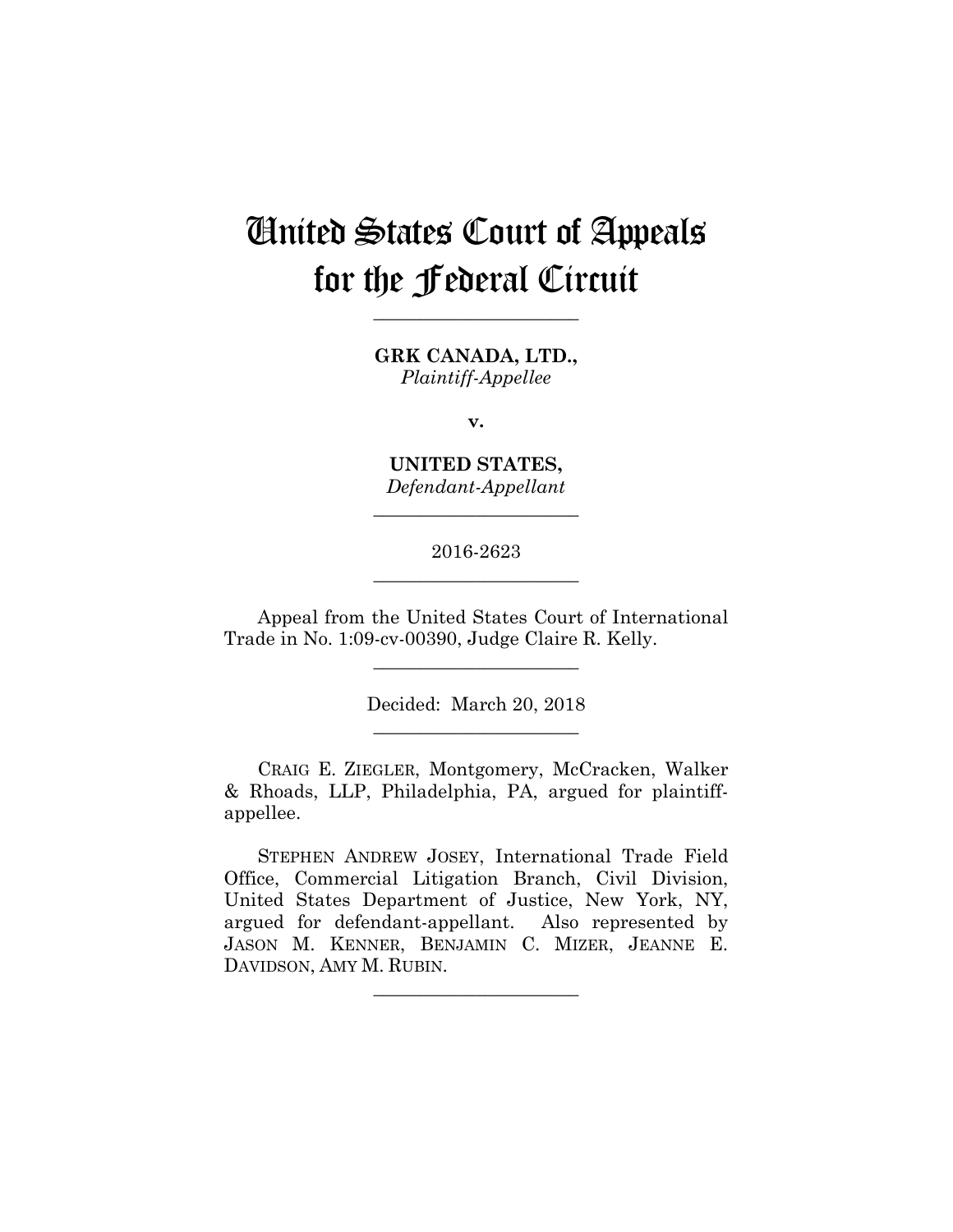# United States Court of Appeals for the Federal Circuit

**GRK CANADA, LTD.,** *Plaintiff-Appellee*

**\_\_\_\_\_\_\_\_\_\_\_\_\_\_\_\_\_\_\_\_\_\_** 

**v.**

**UNITED STATES,** *Defendant-Appellant*

**\_\_\_\_\_\_\_\_\_\_\_\_\_\_\_\_\_\_\_\_\_\_** 

2016-2623 **\_\_\_\_\_\_\_\_\_\_\_\_\_\_\_\_\_\_\_\_\_\_** 

Appeal from the United States Court of International Trade in No. 1:09-cv-00390, Judge Claire R. Kelly.

**\_\_\_\_\_\_\_\_\_\_\_\_\_\_\_\_\_\_\_\_\_\_** 

Decided: March 20, 2018 **\_\_\_\_\_\_\_\_\_\_\_\_\_\_\_\_\_\_\_\_\_\_** 

 CRAIG E. ZIEGLER, Montgomery, McCracken, Walker & Rhoads, LLP, Philadelphia, PA, argued for plaintiffappellee.

 STEPHEN ANDREW JOSEY, International Trade Field Office, Commercial Litigation Branch, Civil Division, United States Department of Justice, New York, NY, argued for defendant-appellant. Also represented by JASON M. KENNER, BENJAMIN C. MIZER, JEANNE E. DAVIDSON, AMY M. RUBIN.

**\_\_\_\_\_\_\_\_\_\_\_\_\_\_\_\_\_\_\_\_\_\_**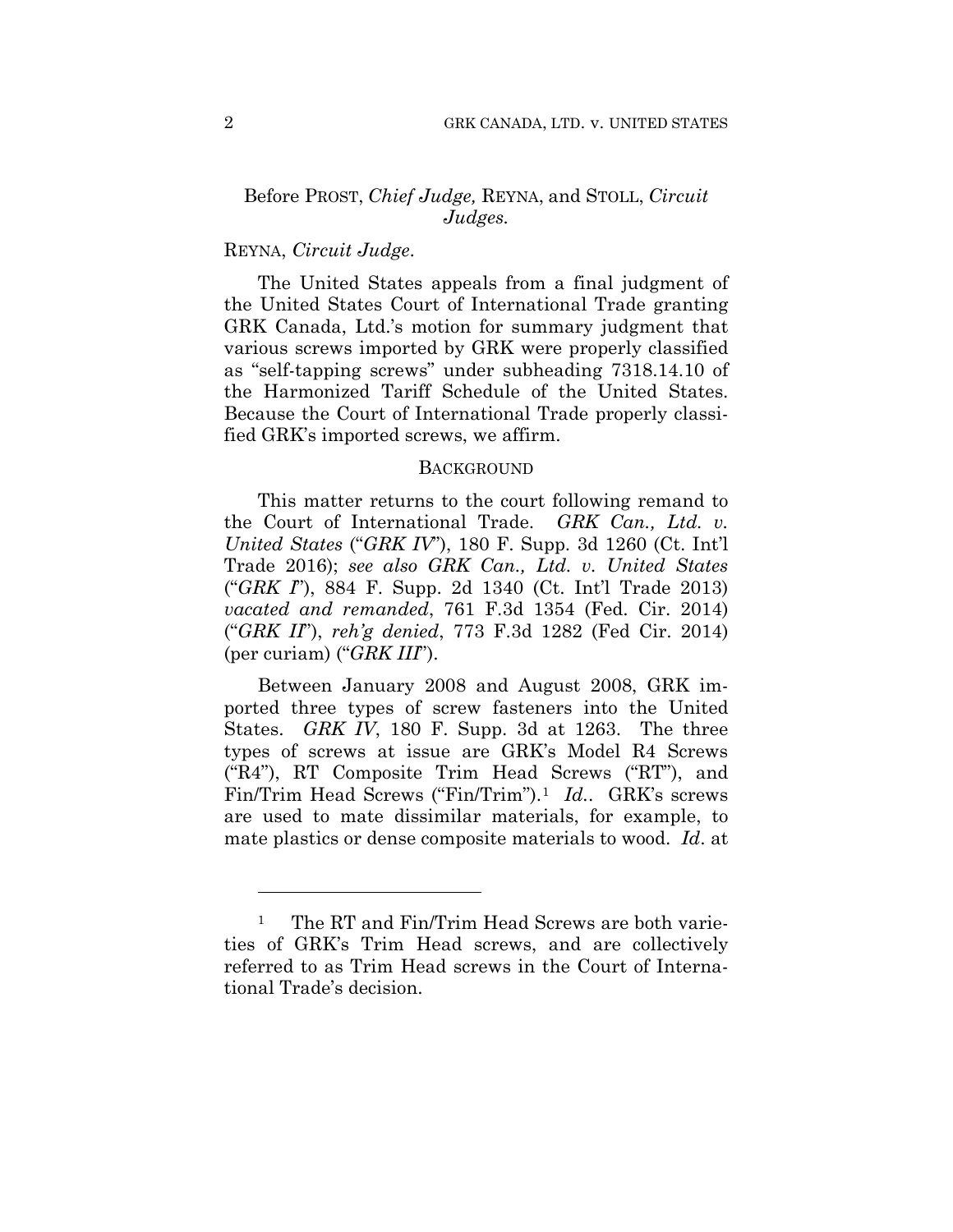## Before PROST, *Chief Judge,* REYNA, and STOLL, *Circuit Judges.*

## REYNA, *Circuit Judge*.

The United States appeals from a final judgment of the United States Court of International Trade granting GRK Canada, Ltd.'s motion for summary judgment that various screws imported by GRK were properly classified as "self-tapping screws" under subheading 7318.14.10 of the Harmonized Tariff Schedule of the United States. Because the Court of International Trade properly classified GRK's imported screws, we affirm.

#### BACKGROUND

This matter returns to the court following remand to the Court of International Trade. *GRK Can., Ltd. v. United States* ("*GRK IV*"), 180 F. Supp. 3d 1260 (Ct. Int'l Trade 2016); *see also GRK Can., Ltd. v. United States* ("*GRK I*"), 884 F. Supp. 2d 1340 (Ct. Int'l Trade 2013) *vacated and remanded*, 761 F.3d 1354 (Fed. Cir. 2014) ("*GRK II*"), *reh'g denied*, 773 F.3d 1282 (Fed Cir. 2014) (per curiam) ("*GRK III*").

Between January 2008 and August 2008, GRK imported three types of screw fasteners into the United States. *GRK IV*, 180 F. Supp. 3d at 1263. The three types of screws at issue are GRK's Model R4 Screws ("R4"), RT Composite Trim Head Screws ("RT"), and Fin/Trim Head Screws ("Fin/Trim").1 *Id.*. GRK's screws are used to mate dissimilar materials, for example, to mate plastics or dense composite materials to wood. *Id*. at

1

<sup>&</sup>lt;sup>1</sup> The RT and Fin/Trim Head Screws are both varieties of GRK's Trim Head screws, and are collectively referred to as Trim Head screws in the Court of International Trade's decision.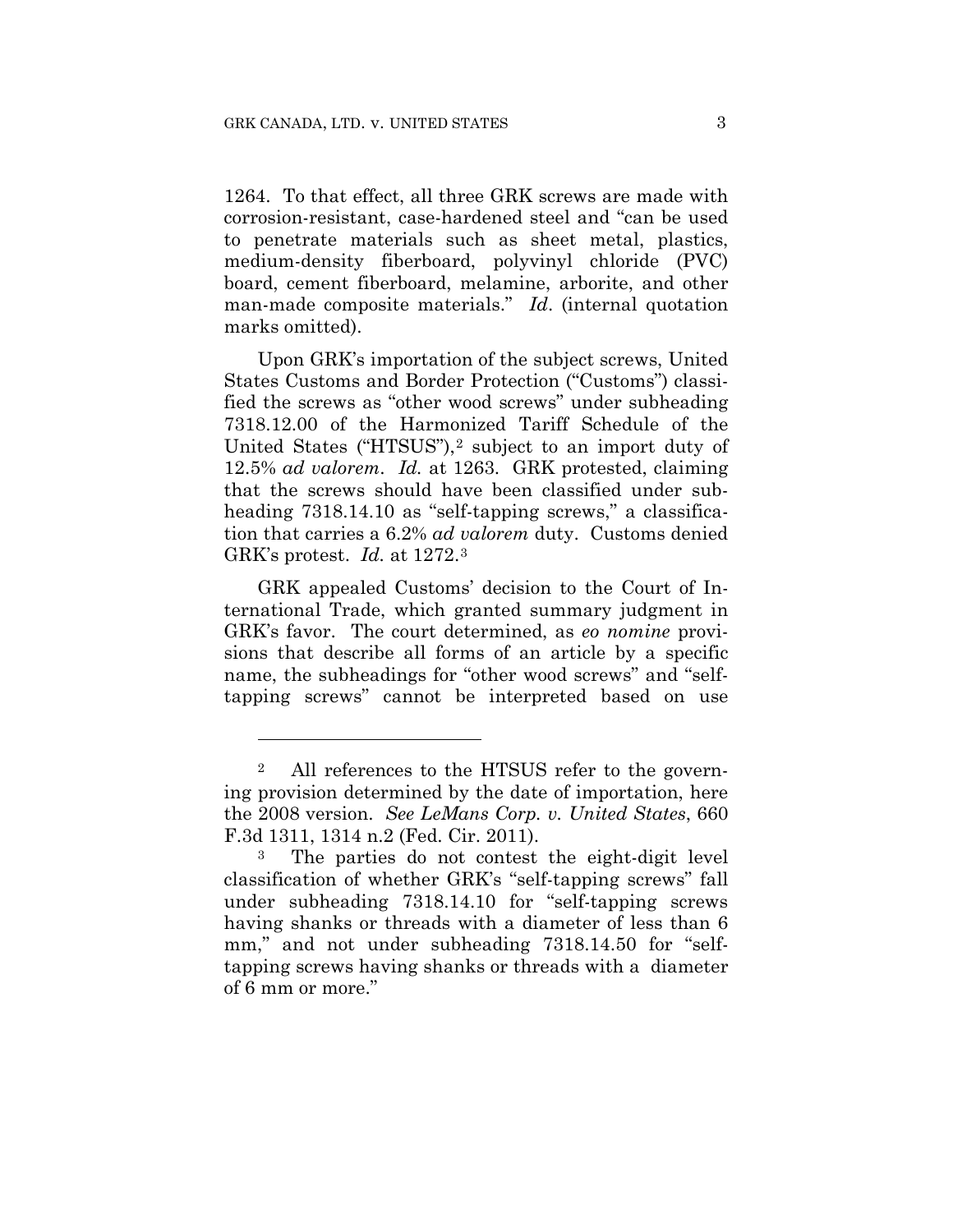<u>.</u>

1264. To that effect, all three GRK screws are made with corrosion-resistant, case-hardened steel and "can be used to penetrate materials such as sheet metal, plastics, medium-density fiberboard, polyvinyl chloride (PVC) board, cement fiberboard, melamine, arborite, and other man-made composite materials." *Id*. (internal quotation marks omitted).

Upon GRK's importation of the subject screws, United States Customs and Border Protection ("Customs") classified the screws as "other wood screws" under subheading 7318.12.00 of the Harmonized Tariff Schedule of the United States ("HTSUS"),2 subject to an import duty of 12.5% *ad valorem*. *Id.* at 1263.GRK protested, claiming that the screws should have been classified under subheading 7318.14.10 as "self-tapping screws," a classification that carries a 6.2% *ad valorem* duty. Customs denied GRK's protest. *Id.* at 1272.3

GRK appealed Customs' decision to the Court of International Trade, which granted summary judgment in GRK's favor. The court determined, as *eo nomine* provisions that describe all forms of an article by a specific name, the subheadings for "other wood screws" and "selftapping screws" cannot be interpreted based on use

<sup>2</sup> All references to the HTSUS refer to the governing provision determined by the date of importation, here the 2008 version. *See LeMans Corp. v. United States*, 660 F.3d 1311, 1314 n.2 (Fed. Cir. 2011).

<sup>3</sup> The parties do not contest the eight-digit level classification of whether GRK's "self-tapping screws" fall under subheading 7318.14.10 for "self-tapping screws having shanks or threads with a diameter of less than 6 mm," and not under subheading 7318.14.50 for "selftapping screws having shanks or threads with a diameter of 6 mm or more."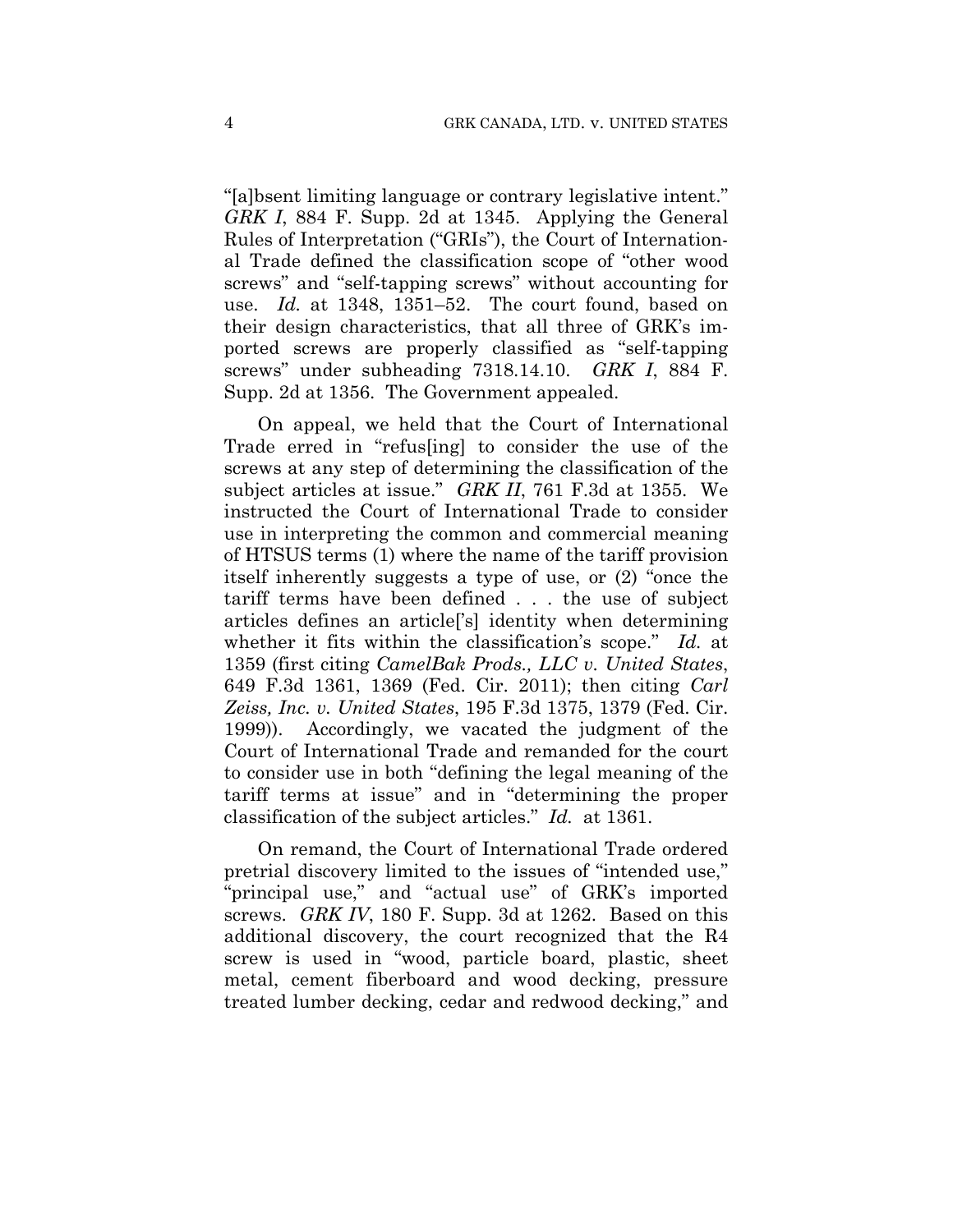"[a]bsent limiting language or contrary legislative intent." *GRK I*, 884 F. Supp. 2d at 1345. Applying the General Rules of Interpretation ("GRIs"), the Court of International Trade defined the classification scope of "other wood screws" and "self-tapping screws" without accounting for use. *Id.* at 1348, 1351–52. The court found, based on their design characteristics, that all three of GRK's imported screws are properly classified as "self-tapping screws" under subheading 7318.14.10. *GRK I*, 884 F. Supp. 2d at 1356. The Government appealed.

On appeal, we held that the Court of International Trade erred in "refus[ing] to consider the use of the screws at any step of determining the classification of the subject articles at issue." *GRK II*, 761 F.3d at 1355. We instructed the Court of International Trade to consider use in interpreting the common and commercial meaning of HTSUS terms (1) where the name of the tariff provision itself inherently suggests a type of use, or (2) "once the tariff terms have been defined . . . the use of subject articles defines an article['s] identity when determining whether it fits within the classification's scope." *Id.* at 1359 (first citing *CamelBak Prods., LLC v. United States*, 649 F.3d 1361, 1369 (Fed. Cir. 2011); then citing *Carl Zeiss, Inc. v. United States*, 195 F.3d 1375, 1379 (Fed. Cir. 1999)). Accordingly, we vacated the judgment of the Court of International Trade and remanded for the court to consider use in both "defining the legal meaning of the tariff terms at issue" and in "determining the proper classification of the subject articles." *Id.* at 1361.

On remand, the Court of International Trade ordered pretrial discovery limited to the issues of "intended use," "principal use," and "actual use" of GRK's imported screws. *GRK IV*, 180 F. Supp. 3d at 1262. Based on this additional discovery, the court recognized that the R4 screw is used in "wood, particle board, plastic, sheet metal, cement fiberboard and wood decking, pressure treated lumber decking, cedar and redwood decking," and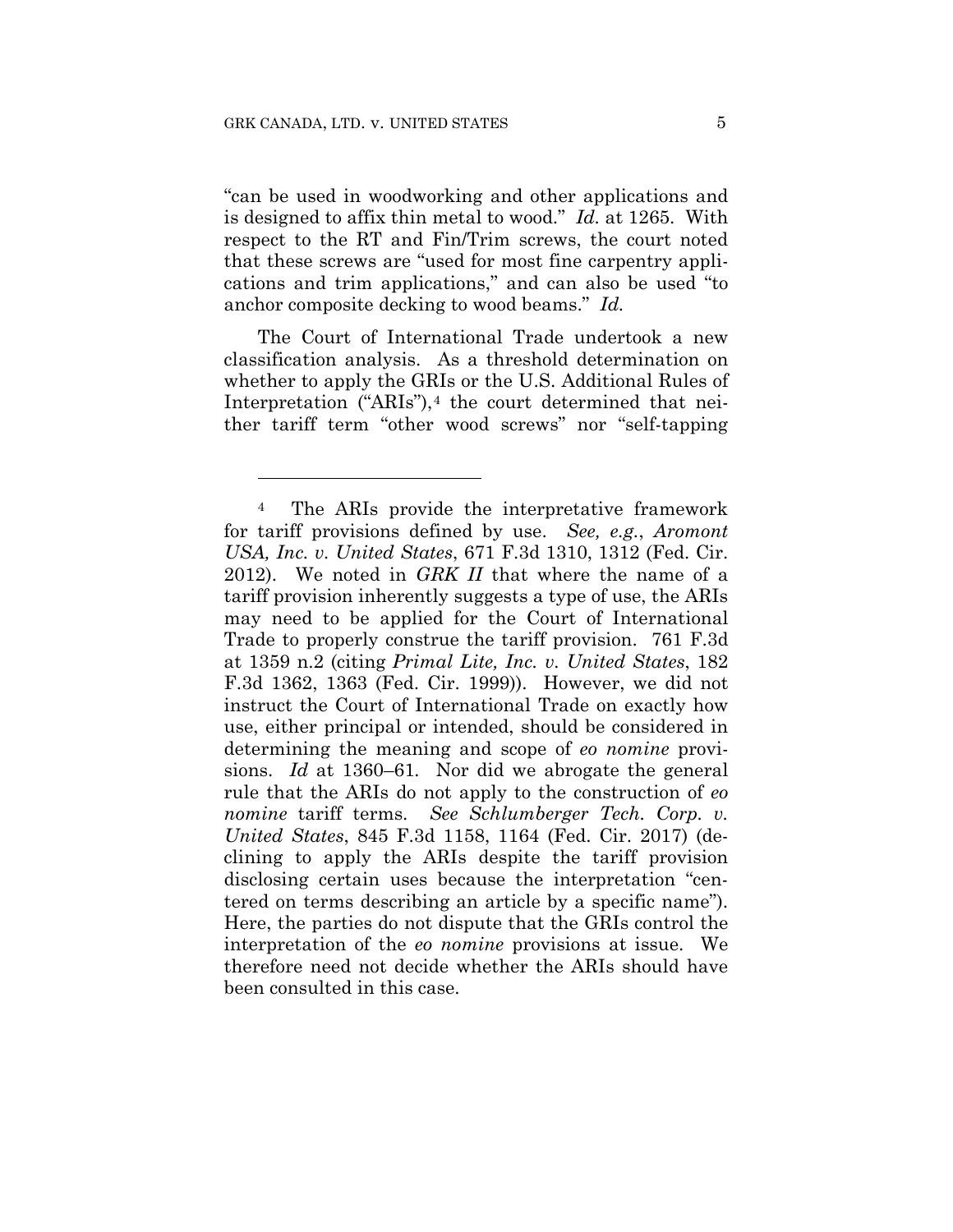<u>.</u>

"can be used in woodworking and other applications and is designed to affix thin metal to wood." *Id.* at 1265. With respect to the RT and Fin/Trim screws, the court noted that these screws are "used for most fine carpentry applications and trim applications," and can also be used "to anchor composite decking to wood beams." *Id.*

The Court of International Trade undertook a new classification analysis. As a threshold determination on whether to apply the GRIs or the U.S. Additional Rules of Interpretation ("ARIs"), $4$  the court determined that neither tariff term "other wood screws" nor "self-tapping

<sup>4</sup> The ARIs provide the interpretative framework for tariff provisions defined by use. *See, e.g.*, *Aromont USA, Inc. v. United States*, 671 F.3d 1310, 1312 (Fed. Cir. 2012). We noted in *GRK II* that where the name of a tariff provision inherently suggests a type of use, the ARIs may need to be applied for the Court of International Trade to properly construe the tariff provision. 761 F.3d at 1359 n.2 (citing *Primal Lite, Inc. v. United States*, 182 F.3d 1362, 1363 (Fed. Cir. 1999)). However, we did not instruct the Court of International Trade on exactly how use, either principal or intended, should be considered in determining the meaning and scope of *eo nomine* provisions. *Id* at 1360–61*.* Nor did we abrogate the general rule that the ARIs do not apply to the construction of *eo nomine* tariff terms. *See Schlumberger Tech. Corp. v. United States*, 845 F.3d 1158, 1164 (Fed. Cir. 2017) (declining to apply the ARIs despite the tariff provision disclosing certain uses because the interpretation "centered on terms describing an article by a specific name"). Here, the parties do not dispute that the GRIs control the interpretation of the *eo nomine* provisions at issue. We therefore need not decide whether the ARIs should have been consulted in this case.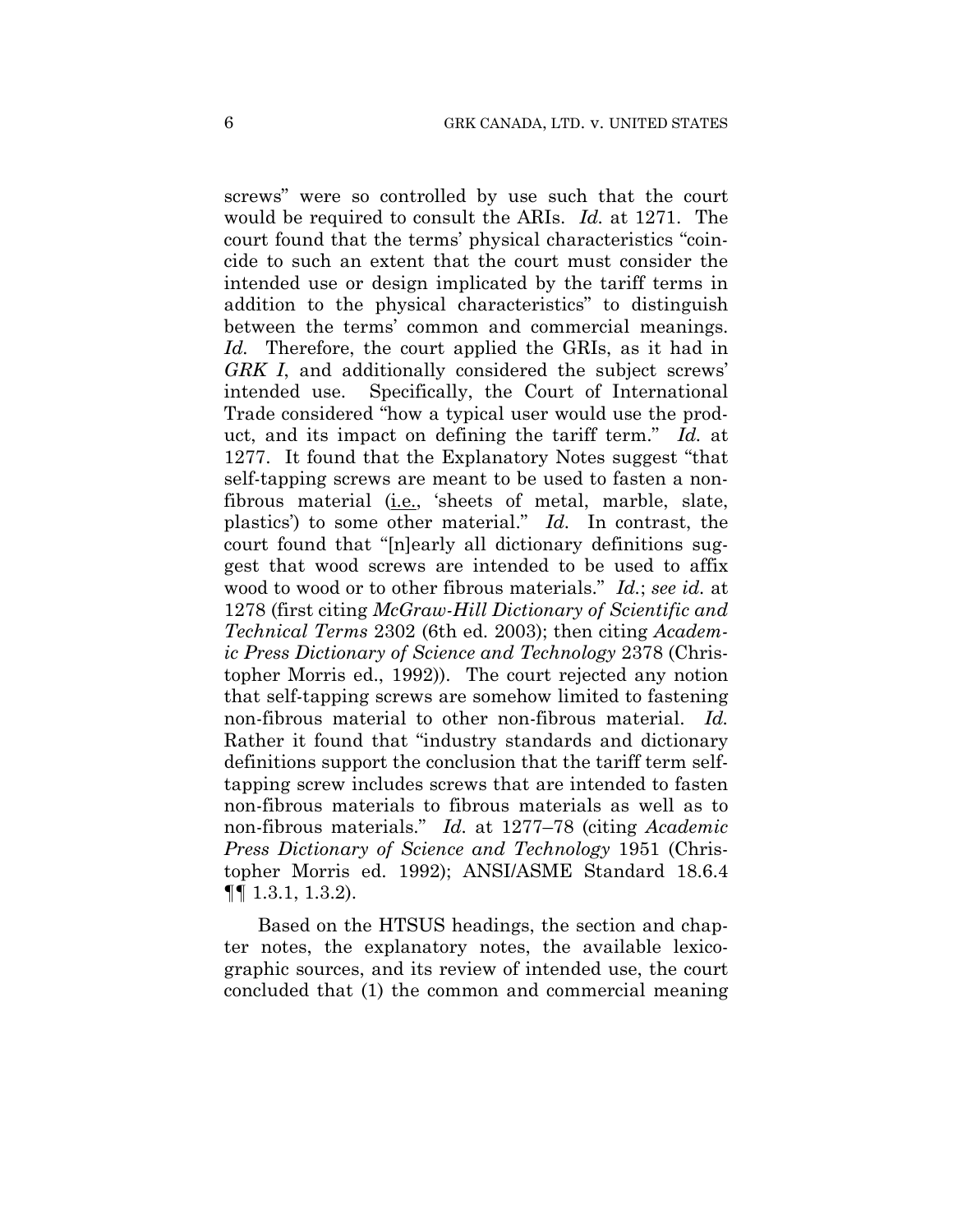screws" were so controlled by use such that the court would be required to consult the ARIs. *Id.* at 1271. The court found that the terms' physical characteristics "coincide to such an extent that the court must consider the intended use or design implicated by the tariff terms in addition to the physical characteristics" to distinguish between the terms' common and commercial meanings. *Id.* Therefore, the court applied the GRIs, as it had in *GRK I*, and additionally considered the subject screws' intended use. Specifically, the Court of International Trade considered "how a typical user would use the product, and its impact on defining the tariff term." *Id.* at 1277. It found that the Explanatory Notes suggest "that self-tapping screws are meant to be used to fasten a nonfibrous material (i.e., 'sheets of metal, marble, slate, plastics') to some other material." *Id.* In contrast, the court found that "[n]early all dictionary definitions suggest that wood screws are intended to be used to affix wood to wood or to other fibrous materials." *Id.*; *see id.* at 1278 (first citing *McGraw-Hill Dictionary of Scientific and Technical Terms* 2302 (6th ed. 2003); then citing *Academic Press Dictionary of Science and Technology* 2378 (Christopher Morris ed., 1992)). The court rejected any notion that self-tapping screws are somehow limited to fastening non-fibrous material to other non-fibrous material. *Id.*  Rather it found that "industry standards and dictionary definitions support the conclusion that the tariff term selftapping screw includes screws that are intended to fasten non-fibrous materials to fibrous materials as well as to non-fibrous materials." *Id.* at 1277–78 (citing *Academic Press Dictionary of Science and Technology* 1951 (Christopher Morris ed. 1992); ANSI/ASME Standard 18.6.4 ¶¶ 1.3.1, 1.3.2).

Based on the HTSUS headings, the section and chapter notes, the explanatory notes, the available lexicographic sources, and its review of intended use, the court concluded that (1) the common and commercial meaning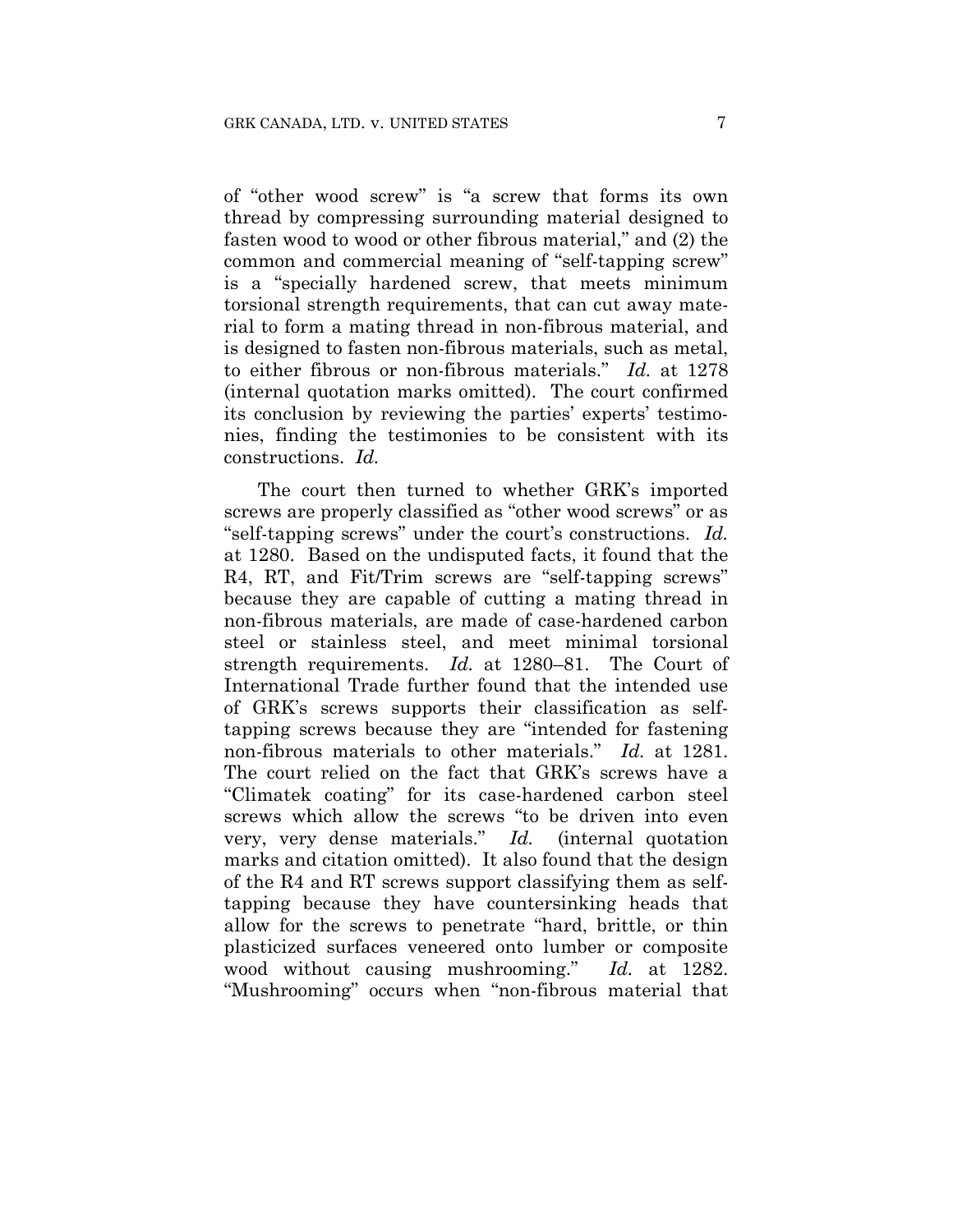of "other wood screw" is "a screw that forms its own thread by compressing surrounding material designed to fasten wood to wood or other fibrous material," and (2) the common and commercial meaning of "self-tapping screw" is a "specially hardened screw, that meets minimum torsional strength requirements, that can cut away material to form a mating thread in non-fibrous material, and is designed to fasten non-fibrous materials, such as metal, to either fibrous or non-fibrous materials." *Id.* at 1278 (internal quotation marks omitted). The court confirmed its conclusion by reviewing the parties' experts' testimonies, finding the testimonies to be consistent with its constructions. *Id.*

The court then turned to whether GRK's imported screws are properly classified as "other wood screws" or as "self-tapping screws" under the court's constructions. *Id.*  at 1280. Based on the undisputed facts, it found that the R4, RT, and Fit/Trim screws are "self-tapping screws" because they are capable of cutting a mating thread in non-fibrous materials, are made of case-hardened carbon steel or stainless steel, and meet minimal torsional strength requirements. *Id.* at 1280–81. The Court of International Trade further found that the intended use of GRK's screws supports their classification as selftapping screws because they are "intended for fastening non-fibrous materials to other materials." *Id.* at 1281. The court relied on the fact that GRK's screws have a "Climatek coating" for its case-hardened carbon steel screws which allow the screws "to be driven into even very, very dense materials." *Id.* (internal quotation marks and citation omitted). It also found that the design of the R4 and RT screws support classifying them as selftapping because they have countersinking heads that allow for the screws to penetrate "hard, brittle, or thin plasticized surfaces veneered onto lumber or composite wood without causing mushrooming." *Id.* at 1282. "Mushrooming" occurs when "non-fibrous material that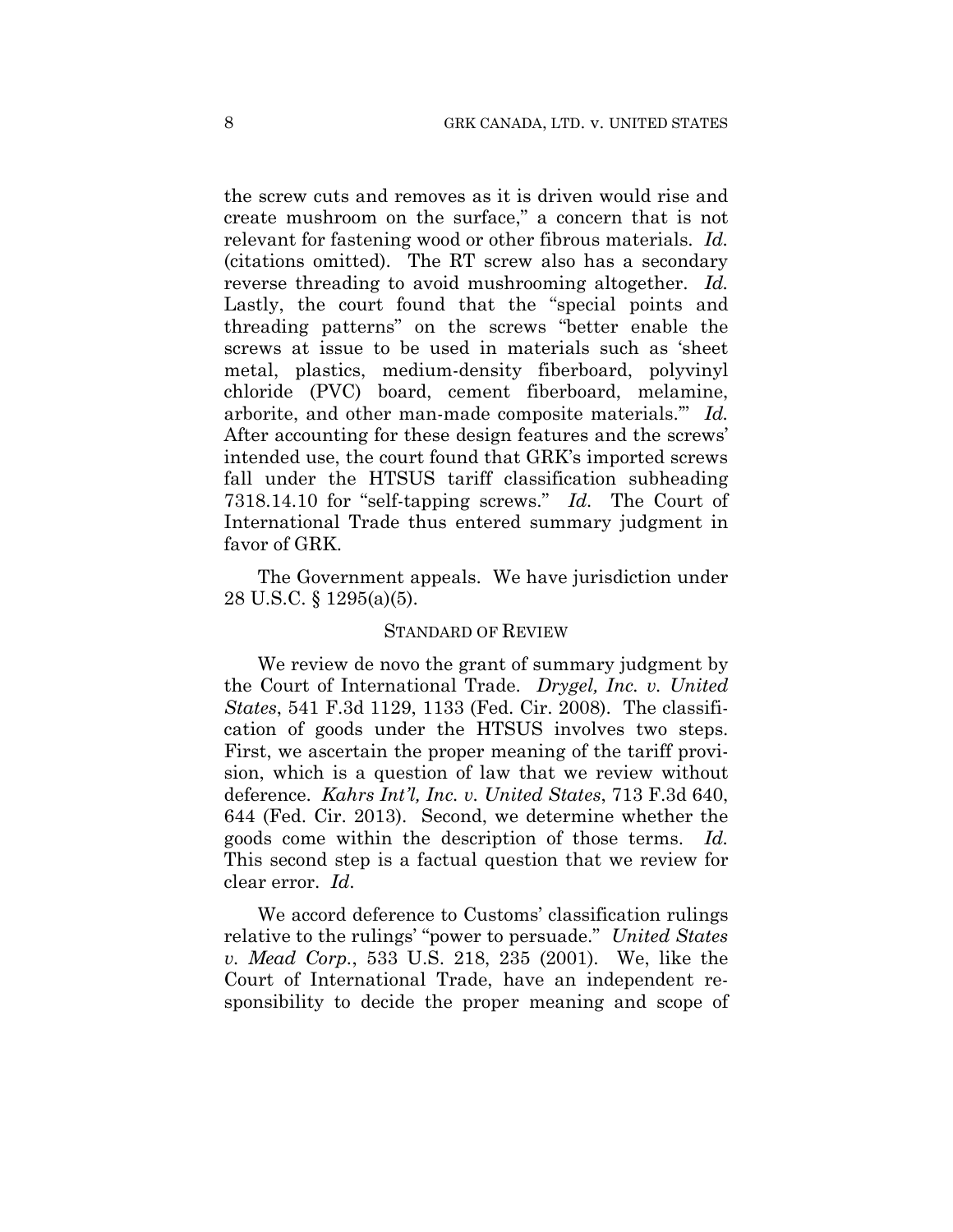the screw cuts and removes as it is driven would rise and create mushroom on the surface," a concern that is not relevant for fastening wood or other fibrous materials. *Id.*  (citations omitted). The RT screw also has a secondary reverse threading to avoid mushrooming altogether. *Id.*  Lastly, the court found that the "special points and threading patterns" on the screws "better enable the screws at issue to be used in materials such as 'sheet metal, plastics, medium-density fiberboard, polyvinyl chloride (PVC) board, cement fiberboard, melamine, arborite, and other man-made composite materials.'" *Id.*  After accounting for these design features and the screws' intended use, the court found that GRK's imported screws fall under the HTSUS tariff classification subheading 7318.14.10 for "self-tapping screws." *Id.* The Court of International Trade thus entered summary judgment in favor of GRK.

The Government appeals. We have jurisdiction under 28 U.S.C. § 1295(a)(5).

#### STANDARD OF REVIEW

We review de novo the grant of summary judgment by the Court of International Trade. *Drygel, Inc. v. United States*, 541 F.3d 1129, 1133 (Fed. Cir. 2008). The classification of goods under the HTSUS involves two steps. First, we ascertain the proper meaning of the tariff provision, which is a question of law that we review without deference. *Kahrs Int'l, Inc. v. United States*, 713 F.3d 640, 644 (Fed. Cir. 2013). Second, we determine whether the goods come within the description of those terms. *Id.*  This second step is a factual question that we review for clear error. *Id*.

We accord deference to Customs' classification rulings relative to the rulings' "power to persuade." *United States v. Mead Corp.*, 533 U.S. 218, 235 (2001). We, like the Court of International Trade, have an independent responsibility to decide the proper meaning and scope of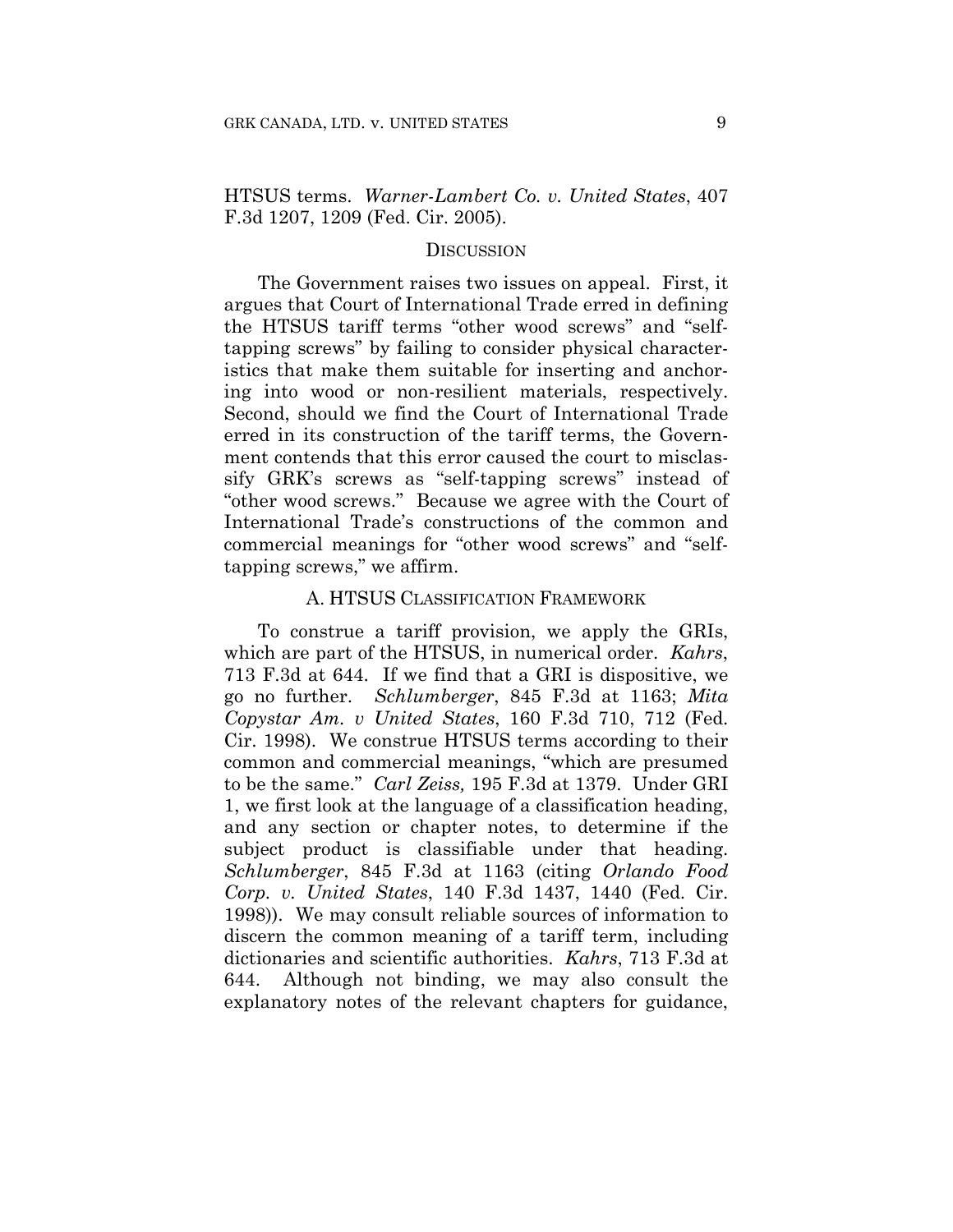HTSUS terms. *Warner-Lambert Co. v. United States*, 407 F.3d 1207, 1209 (Fed. Cir. 2005).

#### **DISCUSSION**

The Government raises two issues on appeal. First, it argues that Court of International Trade erred in defining the HTSUS tariff terms "other wood screws" and "selftapping screws" by failing to consider physical characteristics that make them suitable for inserting and anchoring into wood or non-resilient materials, respectively. Second, should we find the Court of International Trade erred in its construction of the tariff terms, the Government contends that this error caused the court to misclassify GRK's screws as "self-tapping screws" instead of "other wood screws." Because we agree with the Court of International Trade's constructions of the common and commercial meanings for "other wood screws" and "selftapping screws," we affirm.

#### A. HTSUS CLASSIFICATION FRAMEWORK

To construe a tariff provision, we apply the GRIs, which are part of the HTSUS, in numerical order. *Kahrs*, 713 F.3d at 644. If we find that a GRI is dispositive, we go no further. *Schlumberger*, 845 F.3d at 1163; *Mita Copystar Am. v United States*, 160 F.3d 710, 712 (Fed. Cir. 1998). We construe HTSUS terms according to their common and commercial meanings, "which are presumed to be the same." *Carl Zeiss,* 195 F.3d at 1379. Under GRI 1, we first look at the language of a classification heading, and any section or chapter notes, to determine if the subject product is classifiable under that heading. *Schlumberger*, 845 F.3d at 1163 (citing *Orlando Food Corp. v. United States*, 140 F.3d 1437, 1440 (Fed. Cir. 1998)). We may consult reliable sources of information to discern the common meaning of a tariff term, including dictionaries and scientific authorities. *Kahrs*, 713 F.3d at 644. Although not binding, we may also consult the explanatory notes of the relevant chapters for guidance,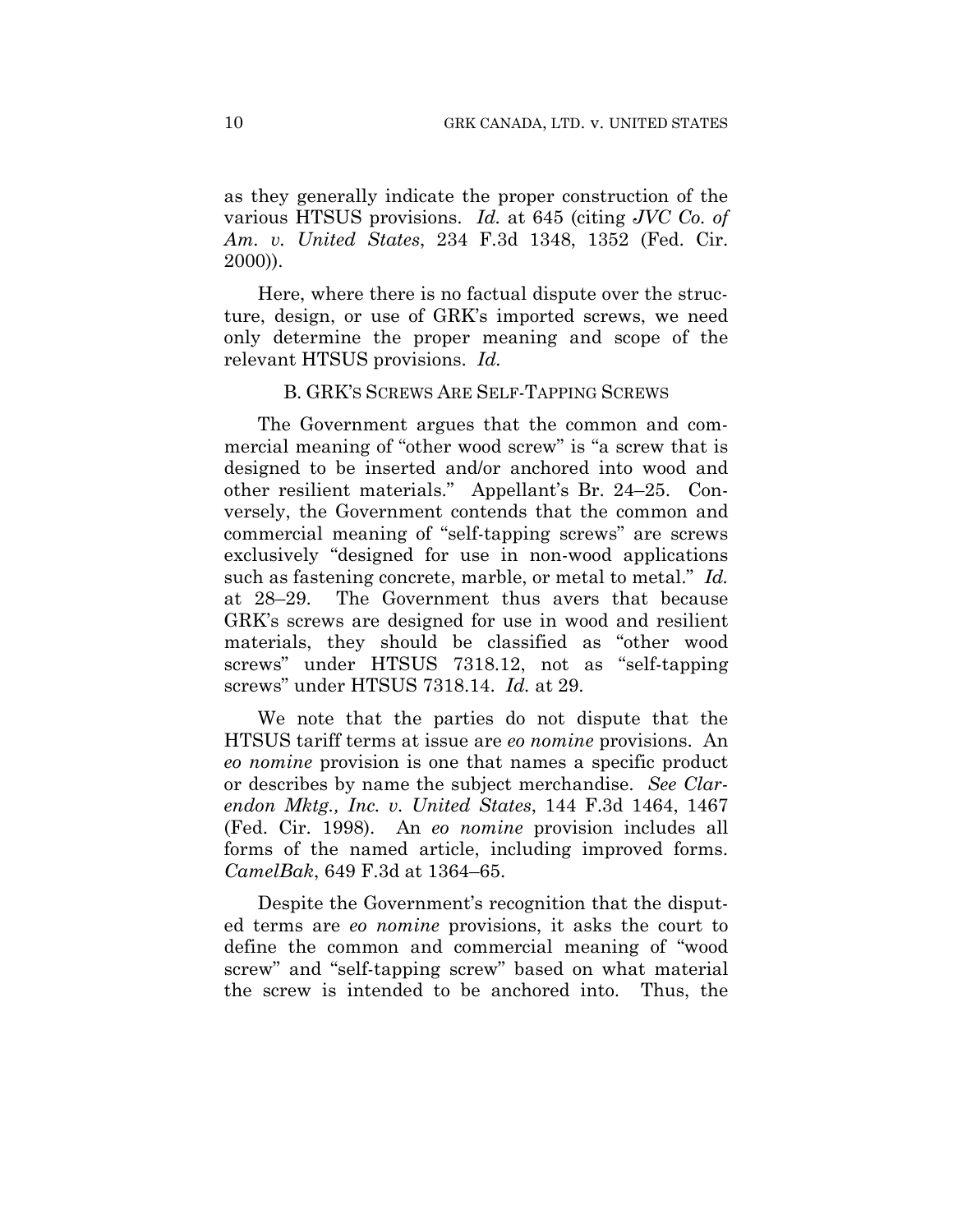as they generally indicate the proper construction of the various HTSUS provisions. *Id.* at 645 (citing *JVC Co. of Am. v. United States*, 234 F.3d 1348, 1352 (Fed. Cir. 2000)).

Here, where there is no factual dispute over the structure, design, or use of GRK's imported screws, we need only determine the proper meaning and scope of the relevant HTSUS provisions. *Id.*

#### B. GRK'S SCREWS ARE SELF-TAPPING SCREWS

The Government argues that the common and commercial meaning of "other wood screw" is "a screw that is designed to be inserted and/or anchored into wood and other resilient materials." Appellant's Br. 24–25. Conversely, the Government contends that the common and commercial meaning of "self-tapping screws" are screws exclusively "designed for use in non-wood applications such as fastening concrete, marble, or metal to metal." *Id.*  at 28–29. The Government thus avers that because GRK's screws are designed for use in wood and resilient materials, they should be classified as "other wood screws" under HTSUS 7318.12, not as "self-tapping screws" under HTSUS 7318.14. *Id.* at 29.

We note that the parties do not dispute that the HTSUS tariff terms at issue are *eo nomine* provisions. An *eo nomine* provision is one that names a specific product or describes by name the subject merchandise. *See Clarendon Mktg., Inc. v. United States*, 144 F.3d 1464, 1467 (Fed. Cir. 1998). An *eo nomine* provision includes all forms of the named article, including improved forms. *CamelBak*, 649 F.3d at 1364–65.

Despite the Government's recognition that the disputed terms are *eo nomine* provisions, it asks the court to define the common and commercial meaning of "wood screw" and "self-tapping screw" based on what material the screw is intended to be anchored into. Thus, the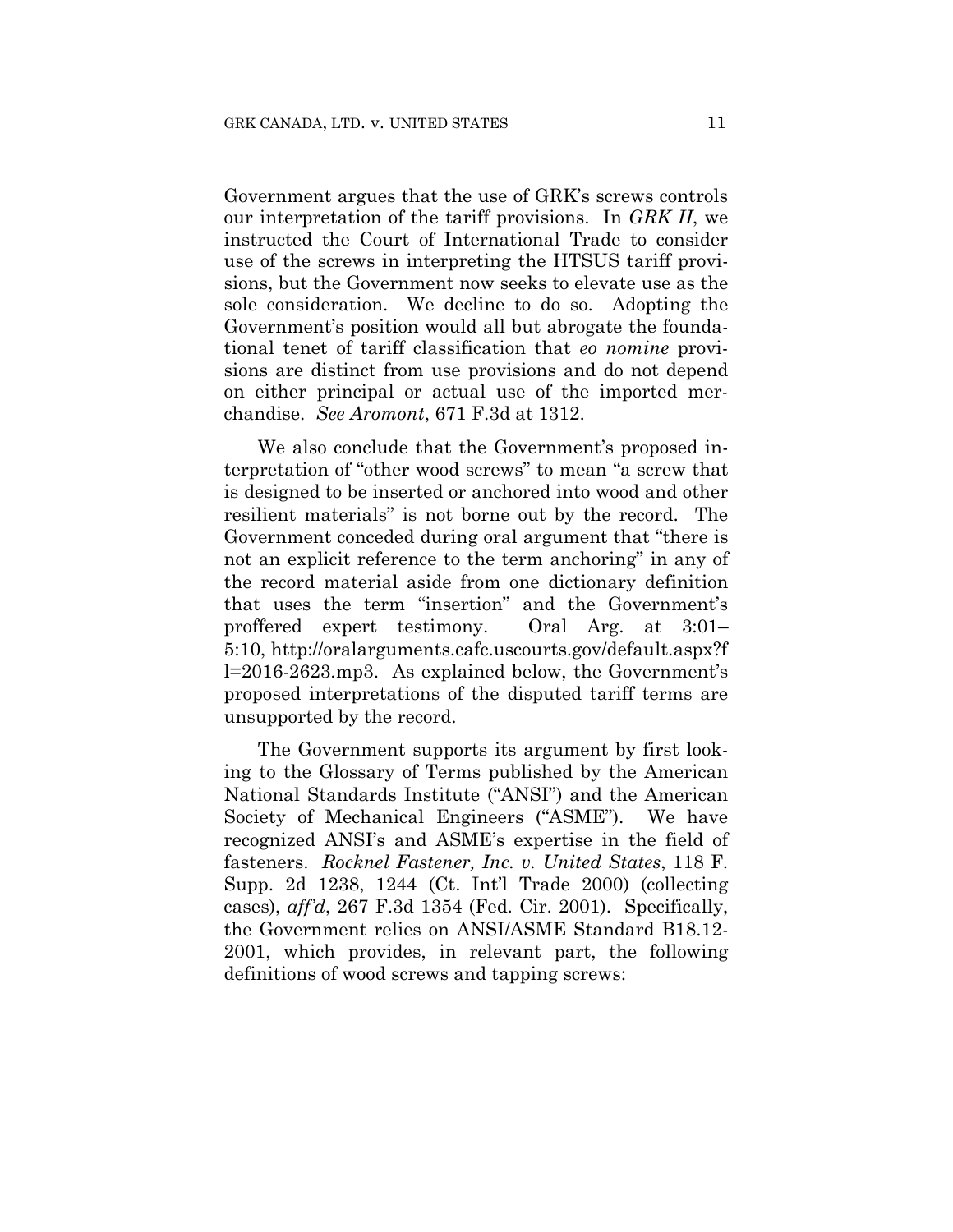Government argues that the use of GRK's screws controls our interpretation of the tariff provisions. In *GRK II*, we instructed the Court of International Trade to consider use of the screws in interpreting the HTSUS tariff provisions, but the Government now seeks to elevate use as the sole consideration. We decline to do so. Adopting the Government's position would all but abrogate the foundational tenet of tariff classification that *eo nomine* provisions are distinct from use provisions and do not depend on either principal or actual use of the imported merchandise. *See Aromont*, 671 F.3d at 1312.

We also conclude that the Government's proposed interpretation of "other wood screws" to mean "a screw that is designed to be inserted or anchored into wood and other resilient materials" is not borne out by the record. The Government conceded during oral argument that "there is not an explicit reference to the term anchoring" in any of the record material aside from one dictionary definition that uses the term "insertion" and the Government's proffered expert testimony. Oral Arg. at 3:01– 5:10, http://oralarguments.cafc.uscourts.gov/default.aspx?f l=2016-2623.mp3. As explained below, the Government's proposed interpretations of the disputed tariff terms are unsupported by the record.

The Government supports its argument by first looking to the Glossary of Terms published by the American National Standards Institute ("ANSI") and the American Society of Mechanical Engineers ("ASME"). We have recognized ANSI's and ASME's expertise in the field of fasteners. *Rocknel Fastener, Inc. v. United States*, 118 F. Supp. 2d 1238, 1244 (Ct. Int'l Trade 2000) (collecting cases), *aff'd*, 267 F.3d 1354 (Fed. Cir. 2001). Specifically, the Government relies on ANSI/ASME Standard B18.12- 2001, which provides, in relevant part, the following definitions of wood screws and tapping screws: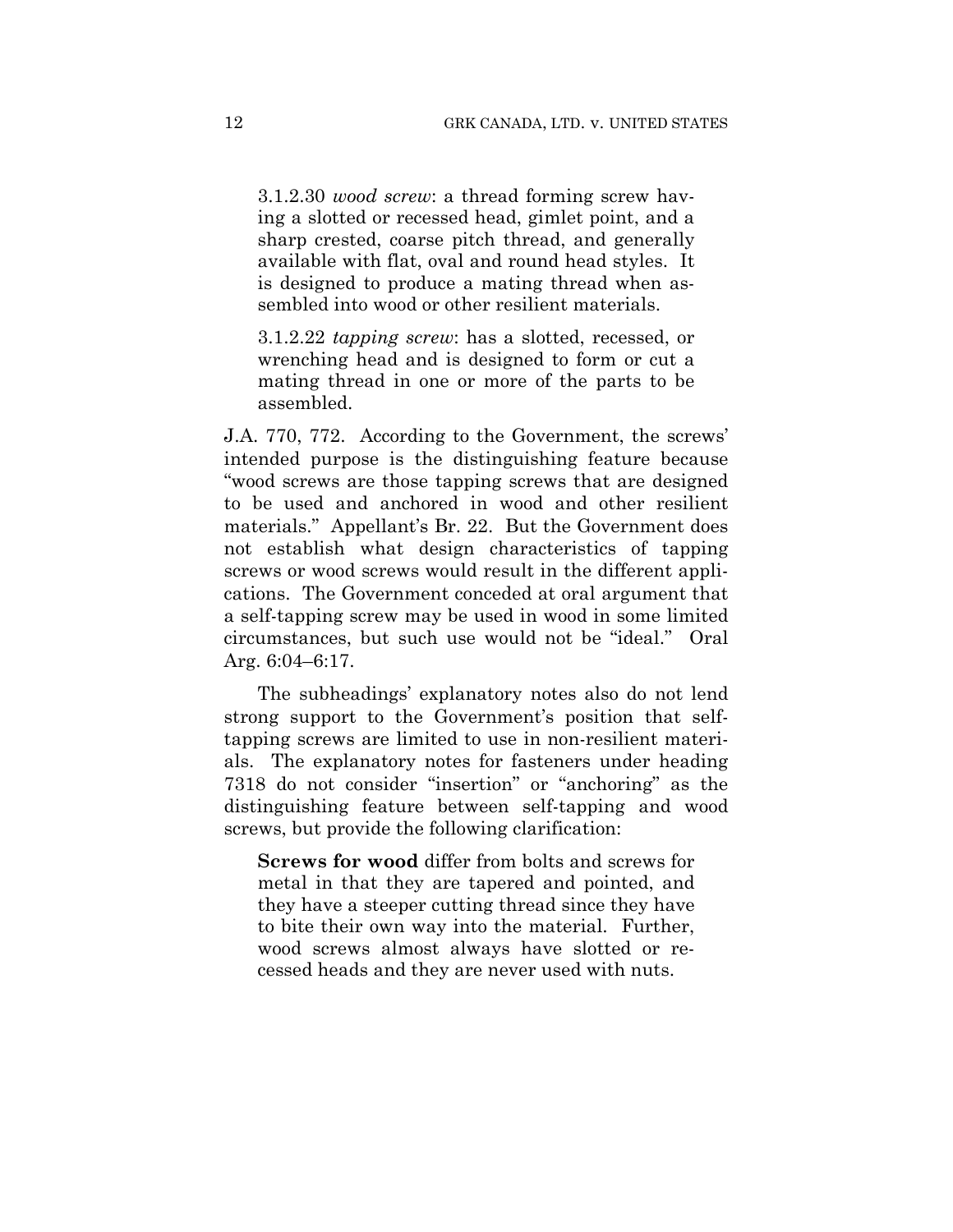3.1.2.30 *wood screw*: a thread forming screw having a slotted or recessed head, gimlet point, and a sharp crested, coarse pitch thread, and generally available with flat, oval and round head styles. It is designed to produce a mating thread when assembled into wood or other resilient materials.

3.1.2.22 *tapping screw*: has a slotted, recessed, or wrenching head and is designed to form or cut a mating thread in one or more of the parts to be assembled.

J.A. 770, 772. According to the Government, the screws' intended purpose is the distinguishing feature because "wood screws are those tapping screws that are designed to be used and anchored in wood and other resilient materials." Appellant's Br. 22. But the Government does not establish what design characteristics of tapping screws or wood screws would result in the different applications. The Government conceded at oral argument that a self-tapping screw may be used in wood in some limited circumstances, but such use would not be "ideal." Oral Arg. 6:04–6:17.

The subheadings' explanatory notes also do not lend strong support to the Government's position that selftapping screws are limited to use in non-resilient materials. The explanatory notes for fasteners under heading 7318 do not consider "insertion" or "anchoring" as the distinguishing feature between self-tapping and wood screws, but provide the following clarification:

**Screws for wood** differ from bolts and screws for metal in that they are tapered and pointed, and they have a steeper cutting thread since they have to bite their own way into the material. Further, wood screws almost always have slotted or recessed heads and they are never used with nuts.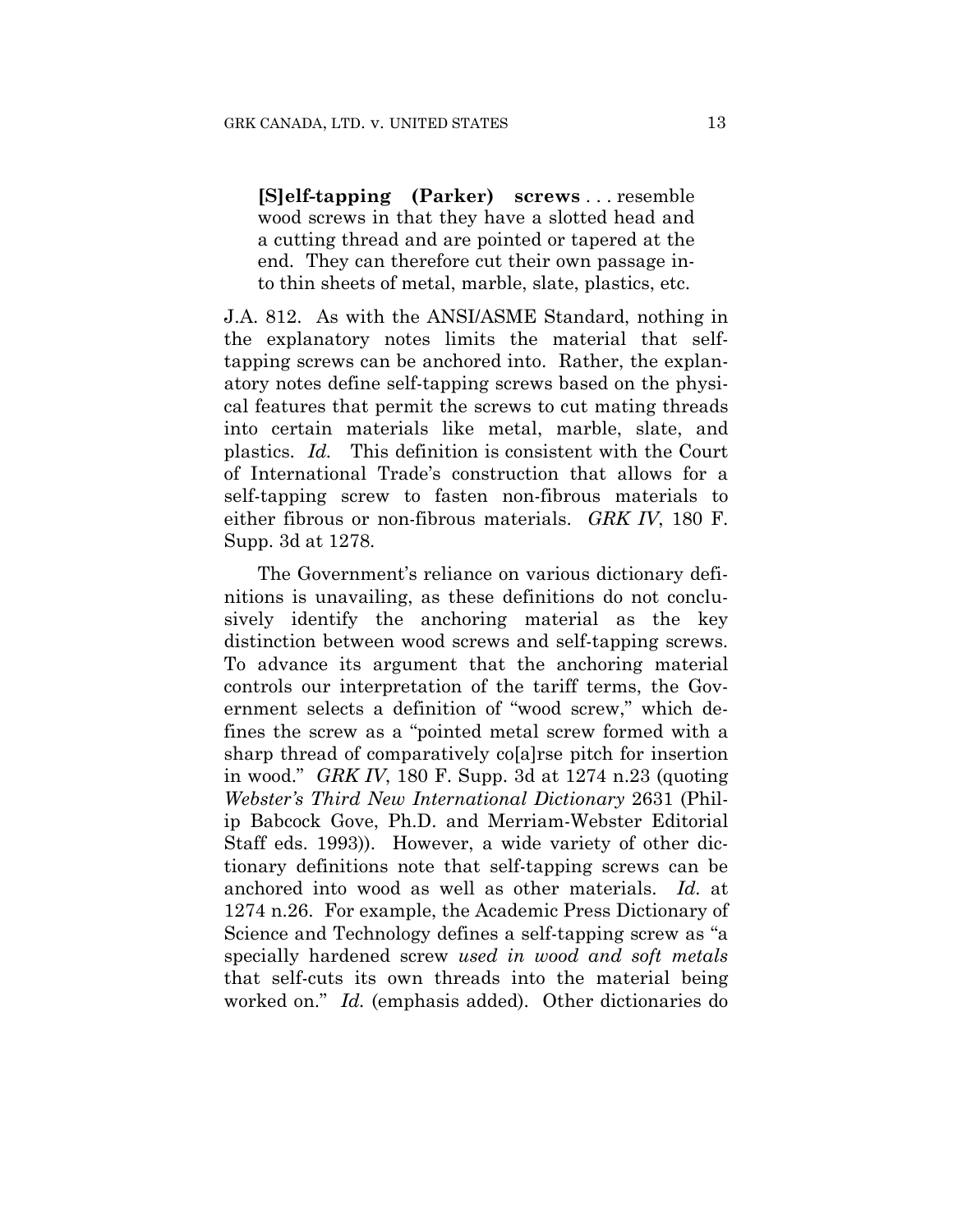**[S]elf-tapping (Parker) screws** . . . resemble wood screws in that they have a slotted head and a cutting thread and are pointed or tapered at the end. They can therefore cut their own passage into thin sheets of metal, marble, slate, plastics, etc.

J.A. 812. As with the ANSI/ASME Standard, nothing in the explanatory notes limits the material that selftapping screws can be anchored into. Rather, the explanatory notes define self-tapping screws based on the physical features that permit the screws to cut mating threads into certain materials like metal, marble, slate, and plastics. *Id.* This definition is consistent with the Court of International Trade's construction that allows for a self-tapping screw to fasten non-fibrous materials to either fibrous or non-fibrous materials. *GRK IV*, 180 F. Supp. 3d at 1278.

The Government's reliance on various dictionary definitions is unavailing, as these definitions do not conclusively identify the anchoring material as the key distinction between wood screws and self-tapping screws. To advance its argument that the anchoring material controls our interpretation of the tariff terms, the Government selects a definition of "wood screw," which defines the screw as a "pointed metal screw formed with a sharp thread of comparatively co[a]rse pitch for insertion in wood." *GRK IV*, 180 F. Supp. 3d at 1274 n.23 (quoting *Webster's Third New International Dictionary* 2631 (Philip Babcock Gove, Ph.D. and Merriam-Webster Editorial Staff eds. 1993)). However, a wide variety of other dictionary definitions note that self-tapping screws can be anchored into wood as well as other materials. *Id.* at 1274 n.26. For example, the Academic Press Dictionary of Science and Technology defines a self-tapping screw as "a specially hardened screw *used in wood and soft metals* that self-cuts its own threads into the material being worked on." *Id.* (emphasis added). Other dictionaries do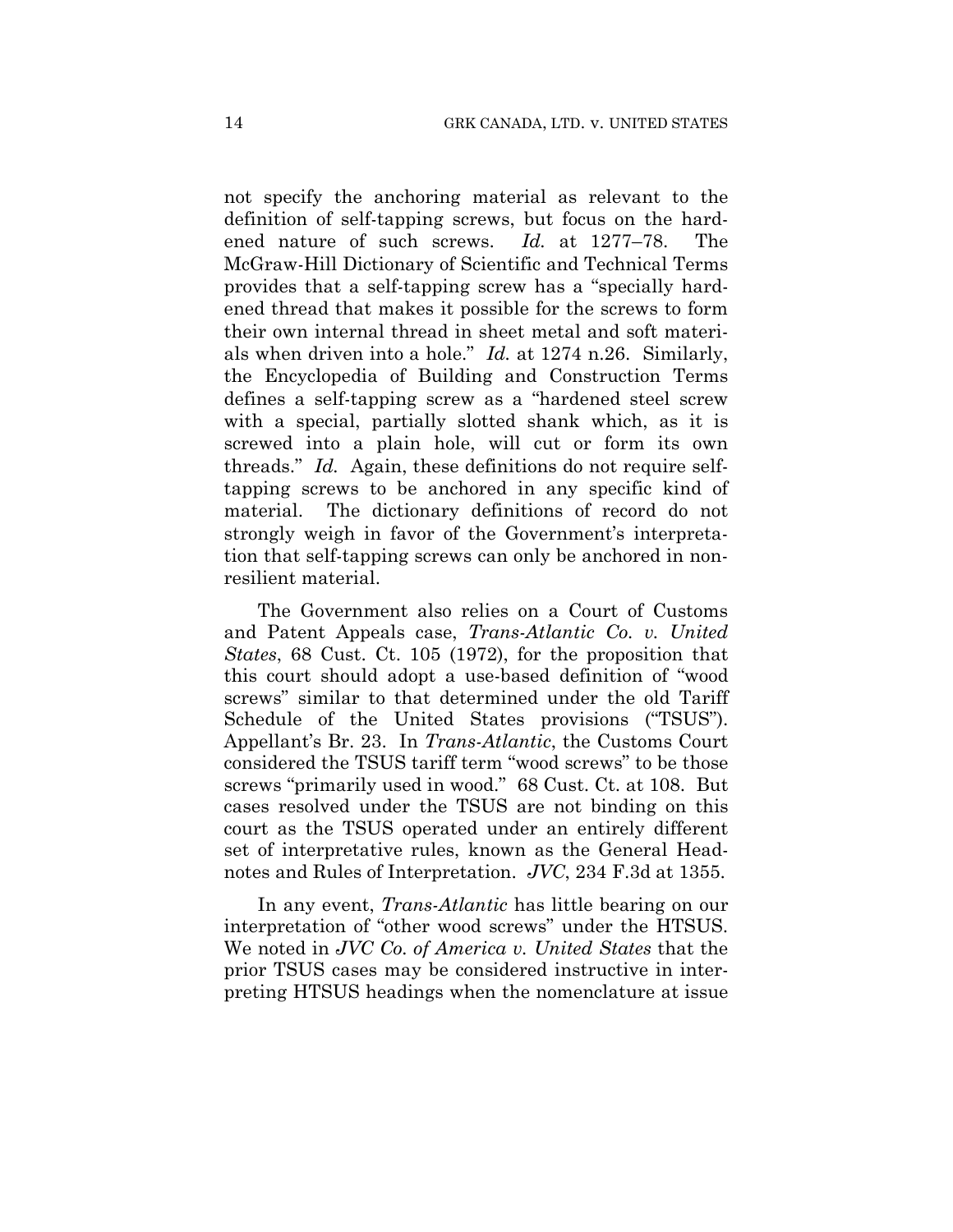not specify the anchoring material as relevant to the definition of self-tapping screws, but focus on the hardened nature of such screws. *Id.* at 1277–78. The McGraw-Hill Dictionary of Scientific and Technical Terms provides that a self-tapping screw has a "specially hardened thread that makes it possible for the screws to form their own internal thread in sheet metal and soft materials when driven into a hole." *Id.* at 1274 n.26. Similarly, the Encyclopedia of Building and Construction Terms defines a self-tapping screw as a "hardened steel screw with a special, partially slotted shank which, as it is screwed into a plain hole, will cut or form its own threads." *Id.* Again, these definitions do not require selftapping screws to be anchored in any specific kind of material. The dictionary definitions of record do not strongly weigh in favor of the Government's interpretation that self-tapping screws can only be anchored in nonresilient material.

The Government also relies on a Court of Customs and Patent Appeals case, *Trans-Atlantic Co. v. United States*, 68 Cust. Ct. 105 (1972), for the proposition that this court should adopt a use-based definition of "wood screws" similar to that determined under the old Tariff Schedule of the United States provisions ("TSUS"). Appellant's Br. 23. In *Trans-Atlantic*, the Customs Court considered the TSUS tariff term "wood screws" to be those screws "primarily used in wood." 68 Cust. Ct. at 108. But cases resolved under the TSUS are not binding on this court as the TSUS operated under an entirely different set of interpretative rules, known as the General Headnotes and Rules of Interpretation. *JVC*, 234 F.3d at 1355.

In any event, *Trans-Atlantic* has little bearing on our interpretation of "other wood screws" under the HTSUS. We noted in *JVC Co. of America v. United States* that the prior TSUS cases may be considered instructive in interpreting HTSUS headings when the nomenclature at issue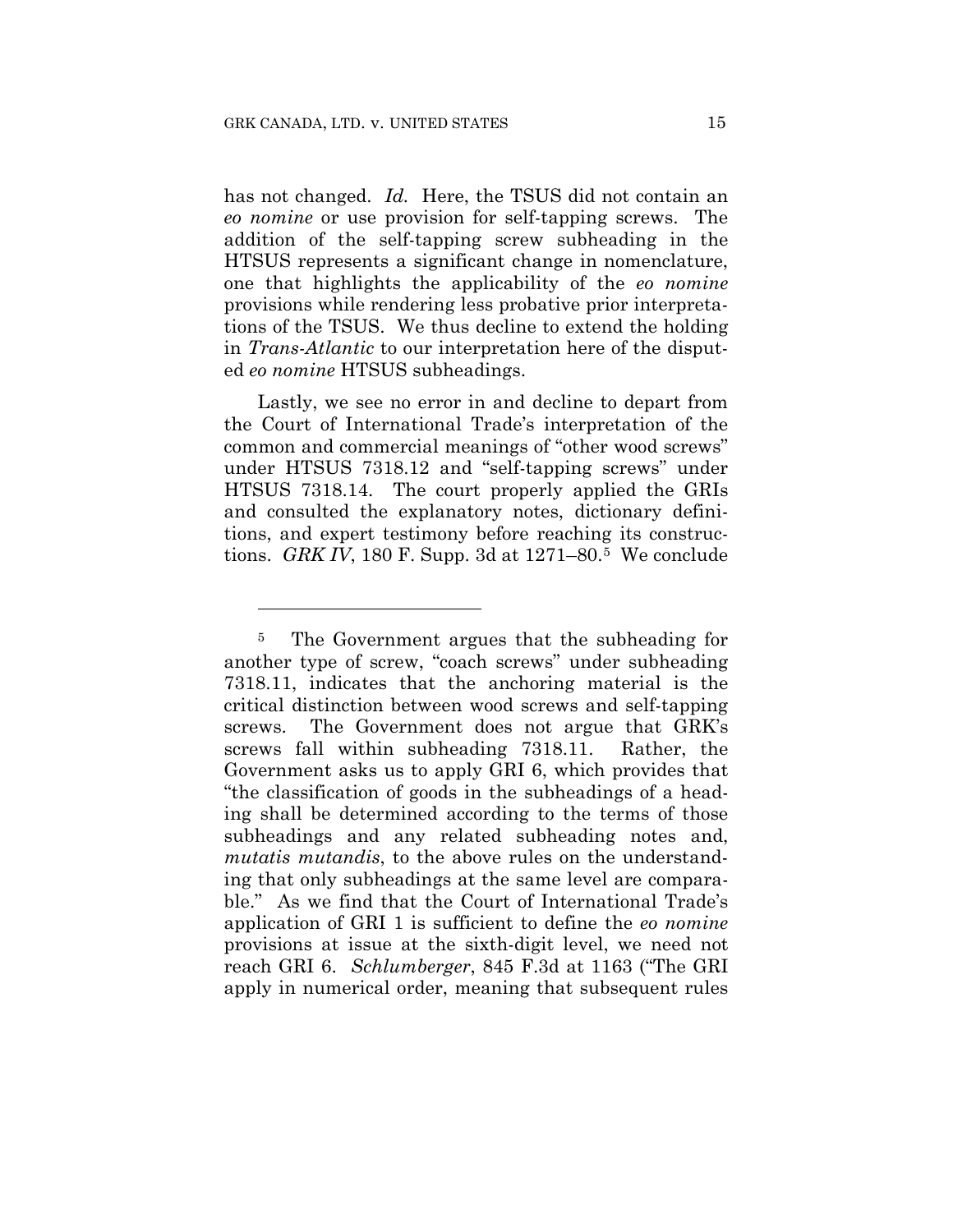<u>.</u>

has not changed. *Id.* Here, the TSUS did not contain an *eo nomine* or use provision for self-tapping screws. The addition of the self-tapping screw subheading in the HTSUS represents a significant change in nomenclature, one that highlights the applicability of the *eo nomine* provisions while rendering less probative prior interpretations of the TSUS. We thus decline to extend the holding in *Trans-Atlantic* to our interpretation here of the disputed *eo nomine* HTSUS subheadings.

Lastly, we see no error in and decline to depart from the Court of International Trade's interpretation of the common and commercial meanings of "other wood screws" under HTSUS 7318.12 and "self-tapping screws" under HTSUS 7318.14. The court properly applied the GRIs and consulted the explanatory notes, dictionary definitions, and expert testimony before reaching its constructions. *GRK IV*, 180 F. Supp. 3d at 1271–80.5 We conclude

<sup>&</sup>lt;sup>5</sup> The Government argues that the subheading for another type of screw, "coach screws" under subheading 7318.11, indicates that the anchoring material is the critical distinction between wood screws and self-tapping screws. The Government does not argue that GRK's screws fall within subheading 7318.11. Rather, the Government asks us to apply GRI 6, which provides that "the classification of goods in the subheadings of a heading shall be determined according to the terms of those subheadings and any related subheading notes and, *mutatis mutandis*, to the above rules on the understanding that only subheadings at the same level are comparable." As we find that the Court of International Trade's application of GRI 1 is sufficient to define the *eo nomine* provisions at issue at the sixth-digit level, we need not reach GRI 6. *Schlumberger*, 845 F.3d at 1163 ("The GRI apply in numerical order, meaning that subsequent rules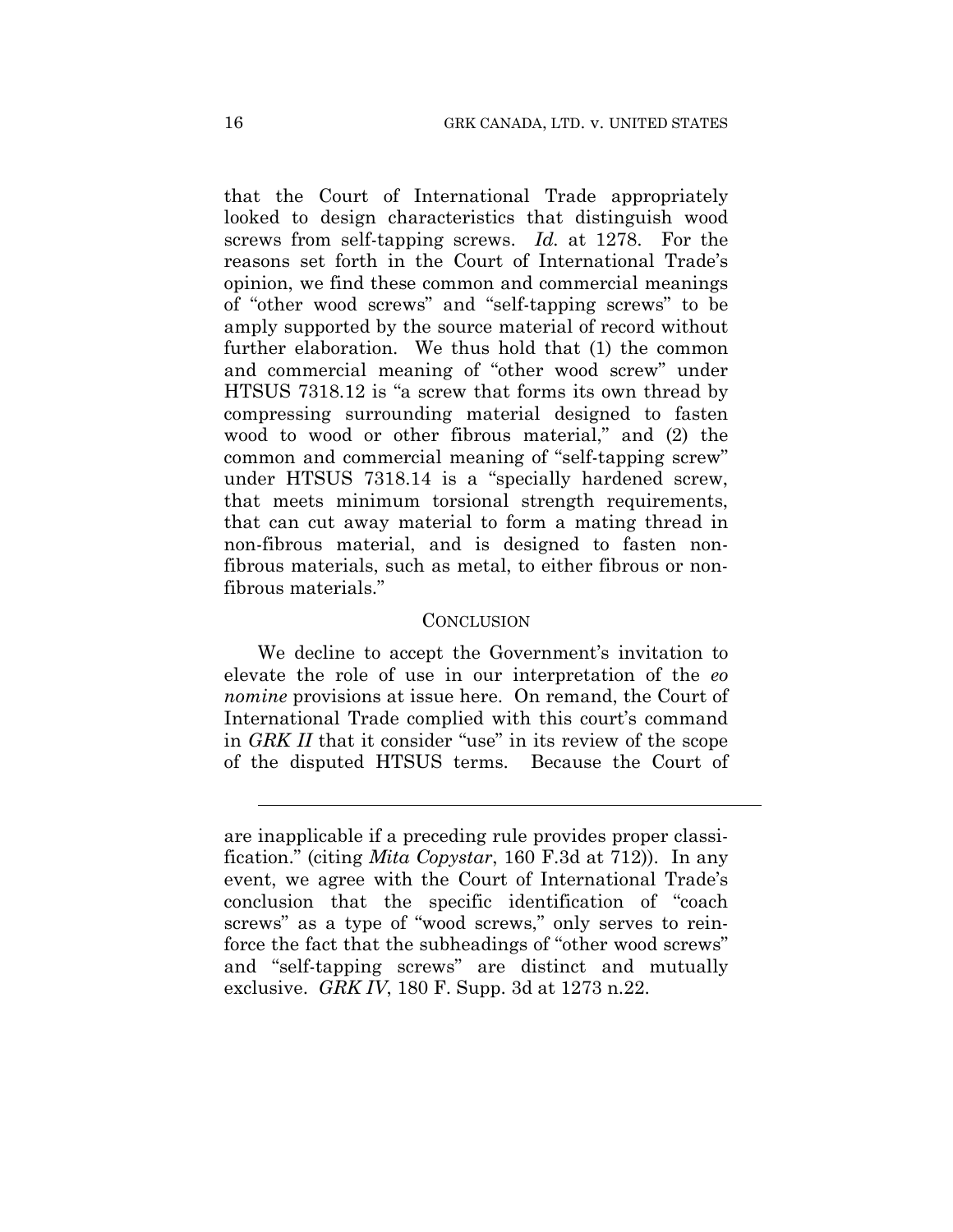that the Court of International Trade appropriately looked to design characteristics that distinguish wood screws from self-tapping screws. *Id.* at 1278. For the reasons set forth in the Court of International Trade's opinion, we find these common and commercial meanings of "other wood screws" and "self-tapping screws" to be amply supported by the source material of record without further elaboration. We thus hold that (1) the common and commercial meaning of "other wood screw" under HTSUS 7318.12 is "a screw that forms its own thread by compressing surrounding material designed to fasten wood to wood or other fibrous material," and (2) the common and commercial meaning of "self-tapping screw" under HTSUS 7318.14 is a "specially hardened screw, that meets minimum torsional strength requirements, that can cut away material to form a mating thread in non-fibrous material, and is designed to fasten nonfibrous materials, such as metal, to either fibrous or nonfibrous materials."

#### CONCLUSION

We decline to accept the Government's invitation to elevate the role of use in our interpretation of the *eo nomine* provisions at issue here. On remand, the Court of International Trade complied with this court's command in *GRK II* that it consider "use" in its review of the scope of the disputed HTSUS terms. Because the Court of

 $\overline{a}$ 

are inapplicable if a preceding rule provides proper classification." (citing *Mita Copystar*, 160 F.3d at 712)). In any event, we agree with the Court of International Trade's conclusion that the specific identification of "coach screws" as a type of "wood screws," only serves to reinforce the fact that the subheadings of "other wood screws" and "self-tapping screws" are distinct and mutually exclusive. *GRK IV*, 180 F. Supp. 3d at 1273 n.22.